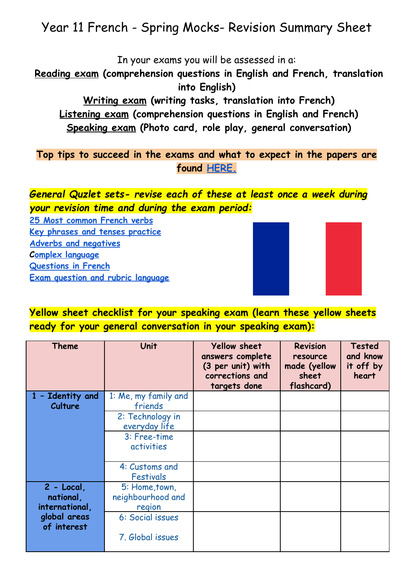# Year 11 French - Spring Mocks- Revision Summary Sheet

In your exams you will be assessed in a:

**Reading exam (comprehension questions in English and French, translation into English)**

**Writing exam (writing tasks, translation into French) Listening exam (comprehension questions in English and French) Speaking exam (Photo card, role play, general conversation)**

**Top tips to succeed in the exams and what to expect in the papers are found [HERE.](https://drive.google.com/drive/folders/1VW0cuJzouCzF1mf6TpGZpzEfQ84CjB_Q)**

### *General Quzlet sets- revise each of these at least once a week during your revision time and during the exam period:*

**[25 Most common French verbs](https://quizlet.com/gb/428320456/25-most-common-french-verbs-flash-cards/) [Key phrases and tenses practice](https://quizlet.com/gb/427920105/key-phrases-and-tenses-practice-flash-cards/) [Adverbs and negatives](https://quizlet.com/gb/427920507/adverbs-and-negatives-flash-cards/) C[omplex language](https://quizlet.com/gb/427920815/magnificent-7-complex-phrases-to-use-in-writing-and-speaking-flash-cards/) [Questions in French](https://quizlet.com/gb/485099088/questions-in-french-flash-cards/) [Exam question and rubric language](https://quizlet.com/gb/485391809/exam-question-vocab-and-rubric-tier-2-vocabulary-flash-cards/)**



**Yellow sheet checklist for your speaking exam (learn these yellow sheets ready for your general conversation in your speaking exam):**

| <b>Theme</b>                               | Unit                                                | <b>Yellow sheet</b><br>answers complete<br>(3 per unit) with<br>corrections and<br>targets done | <b>Revision</b><br>resource<br>made (yellow<br>sheet<br>flashcard) | <b>Tested</b><br>and know<br>it off by<br>heart |
|--------------------------------------------|-----------------------------------------------------|-------------------------------------------------------------------------------------------------|--------------------------------------------------------------------|-------------------------------------------------|
| 1 - Identity and<br><b>Culture</b>         | 1: Me, my family and<br>friends<br>2: Technology in |                                                                                                 |                                                                    |                                                 |
|                                            | everyday life<br>3: Free-time<br>activities         |                                                                                                 |                                                                    |                                                 |
|                                            | 4: Customs and<br><b>Festivals</b>                  |                                                                                                 |                                                                    |                                                 |
| $2 - Local$<br>national,<br>international, | 5: Home, town,<br>neighbourhood and<br>region       |                                                                                                 |                                                                    |                                                 |
| global areas<br>of interest                | 6: Social issues<br>7. Global issues                |                                                                                                 |                                                                    |                                                 |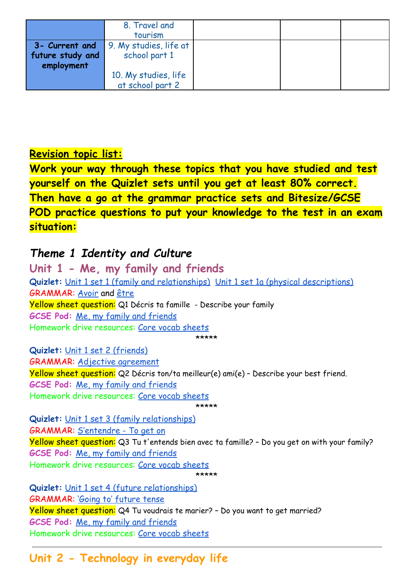|                                | 8. Travel and<br>tourism                                      |  |  |
|--------------------------------|---------------------------------------------------------------|--|--|
| future study and<br>employment | <b>3- Current and</b> 9. My studies, life at<br>school part 1 |  |  |
|                                | 10. My studies, life<br>at school part 2                      |  |  |

#### **Revision topic list:**

**Work your way through these topics that you have studied and test yourself on the Quizlet sets until you get at least 80% correct. Then have a go at the grammar practice sets and Bitesize/GCSE POD practice questions to put your knowledge to the test in an exam situation:**

## *Theme 1 Identity and Culture*

**Unit 1 - Me, my family and friends Quizlet:** [Unit 1 set 1 \(family and relationships\)](https://quizlet.com/gb/439942003/year-10-french-theme-1-unit-1-set-1-family-and-relationships-flash-cards/) [Unit 1 set 1a \(physical descriptions\)](https://quizlet.com/gb/503313289/year-10-french-theme-1-unit-1-set-1-a-family-and-friends-physical-descriptions-flash-cards/) GRAMMAR: [Avoir](https://quizlet.com/93447597/avoir-flash-cards/) and [être](https://quizlet.com/169191919/etre-to-be-flash-cards/) Yellow sheet question: Q1 Décris ta famille - Describe your family **GCSE Pod:** [Me, my family and friends](https://members.gcsepod.com/shared/podcasts/title/13580) Homework drive resources: [Core vocab sheets](https://drive.google.com/drive/u/0/folders/1GI7VaUoCxp5uWuUNcMsacAH8RKSEFNSZ) \*\*\*\*\* **Quizlet:** [Unit 1 set 2 \(friends\)](https://quizlet.com/gb/442056615/year-10-french-theme-1-unit-1-set-2-friends-flash-cards/)

GRAMMAR: [Adjective agreement](https://quizlet.com/es/294743541/french-adjective-agreement-flash-cards/) Yellow sheet question: Q2 Décris ton/ta meilleur(e) ami(e) – Describe your best friend. **GCSE Pod:** [Me, my family and friends](https://members.gcsepod.com/shared/podcasts/title/13580) Homework drive resources: [Core vocab sheets](https://drive.google.com/drive/u/0/folders/1GI7VaUoCxp5uWuUNcMsacAH8RKSEFNSZ) \*\*\*\*\*

**Quizlet:** [Unit 1 set 3 \(family relationships\)](https://quizlet.com/gb/442071371/year-10-french-theme-1-unit-1-set-4-family-relationships-flash-cards/) GRAMMAR: [S'entendre - To get on](https://quizlet.com/gb/313287947/sentendre-flash-cards/) Yellow sheet question: Q3 Tu t'entends bien avec ta famille? – Do you get on with your family? **GCSE Pod:** [Me, my family and friends](https://members.gcsepod.com/shared/podcasts/title/13580) Homework drive resources: [Core vocab sheets](https://drive.google.com/drive/u/0/folders/1GI7VaUoCxp5uWuUNcMsacAH8RKSEFNSZ) \*\*\*\*\*

**Quizlet:** [Unit 1 set 4 \(future relationships\)](https://quizlet.com/gb/442066025/year-10-french-theme-1-unit-1-set-4-future-relationships-flash-cards/) GRAMMAR: ['Going to' future tense](https://quizlet.com/gb/483925130/foundation-higher-tense-going-to-future-tense-to-say-what-you-are-going-to-do-in-the-future-flash-cards/) Yellow sheet question: Q4 Tu voudrais te marier? - Do you want to get married? **GCSE Pod:** [Me, my family and friends](https://members.gcsepod.com/shared/podcasts/title/13580) Homework drive resources: [Core vocab sheets](https://drive.google.com/drive/u/0/folders/1GI7VaUoCxp5uWuUNcMsacAH8RKSEFNSZ)

## **Unit 2 - Technology in everyday life**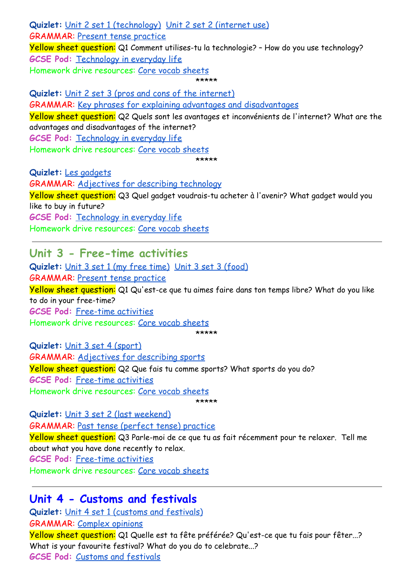**Quizlet:** [Unit 2 set 1 \(technology\)](https://quizlet.com/gb/427919483/year-10-french-theme-1-unit-2-set-1-technology-flash-cards/) [Unit 2 set 2 \(internet use\)](https://quizlet.com/gb/428956770/year-10-french-theme-1-unit-2-set-2-internet-use-flash-cards/) GRAMMAR: [Present tense practice](https://quizlet.com/gb/483926131/foundation-higher-tense-present-tense-practice-to-say-what-you-are-doingnormally-do-flash-cards/) Yellow sheet question: Q1 Comment utilises-tu la technologie? - How do you use technology? **GCSE Pod:** [Technology in everyday life](https://members.gcsepod.com/shared/podcasts/title/13581) Homework drive resources: [Core vocab sheets](https://drive.google.com/drive/u/0/folders/1GI7VaUoCxp5uWuUNcMsacAH8RKSEFNSZ)

\*\*\*\*\*

**Quizlet:** [Unit 2 set 3 \(pros and cons of the internet\)](https://quizlet.com/433206176/year-10-french-theme-1-unit-2-technology-set-3-flash-cards/) GRAMMAR: [Key phrases for explaining advantages and](https://quizlet.com/gb/515043146/key-phrases-for-explaining-advantages-and-disadvantages-flash-cards/?new) disadvantages Yellow sheet question: Q2 Quels sont les avantages et inconvénients de l'internet? What are the advantages and disadvantages of the internet? **GCSE Pod:** [Technology in everyday life](https://members.gcsepod.com/shared/podcasts/title/13581) Homework drive resources: [Core vocab sheets](https://drive.google.com/drive/u/0/folders/1GI7VaUoCxp5uWuUNcMsacAH8RKSEFNSZ) \*\*\*\*\*

**Quizlet:** [Les gadgets](https://quizlet.com/gb/456585959/year-9-french-les-gadgets-flash-cards/) GRAMMAR: [Adjectives for describing technology](https://quizlet.com/246348469/french-technology-adjectives-flash-cards/) Yellow sheet question: Q3 Quel gadget voudrais-tu acheter à l'avenir? What gadget would you like to buy in future? **GCSE Pod:** [Technology in everyday life](https://members.gcsepod.com/shared/podcasts/title/13581) Homework drive resources: [Core vocab sheets](https://drive.google.com/drive/u/0/folders/1GI7VaUoCxp5uWuUNcMsacAH8RKSEFNSZ)

#### **Unit 3 - Free-time activities**

**Quizlet:** [Unit 3 set 1 \(my free time\)](https://quizlet.com/gb/442076866/year-10-french-theme-1-unit-3-set-1-my-free-time-flash-cards/) [Unit 3 set 3](https://quizlet.com/gb/442089734/year-10-french-theme-1-unit-3-set-3-food-and-me-flash-cards/) (food) GRAMMAR: [Present tense practice](https://quizlet.com/gb/483926131/foundation-higher-tense-present-tense-practice-to-say-what-you-are-doingnormally-do-flash-cards/) Yellow sheet question: Q1 Qu'est-ce que tu aimes faire dans ton temps libre? What do you like to do in your free-time? **GCSE Pod:** [Free-time activities](https://members.gcsepod.com/shared/podcasts/title/13582/81474) Homework drive resources: [Core vocab sheets](https://drive.google.com/drive/u/0/folders/1GI7VaUoCxp5uWuUNcMsacAH8RKSEFNSZ) \*\*\*\*\*

**Quizlet:** [Unit 3 set 4 \(sport\)](https://quizlet.com/gb/515044175/year-10-french-theme-1-unit-3-set-4-sport-flash-cards/?new) GRAMMAR: [Adjectives for describing sports](https://quizlet.com/gb/355792706/y7-french-adjectives-for-sports-flash-cards/) Yellow sheet question: Q2 Que fais tu comme sports? What sports do you do? **GCSE Pod:** [Free-time activities](https://members.gcsepod.com/shared/podcasts/title/13582/81474) Homework drive resources: [Core vocab sheets](https://drive.google.com/drive/u/0/folders/1GI7VaUoCxp5uWuUNcMsacAH8RKSEFNSZ) \*\*\*\*\*

**Quizlet:** [Unit 3 set 2 \(last weekend\)](https://quizlet.com/gb/442083988/year-10-french-theme-1-unit-3-set-2-last-weekend-flash-cards/) GRAMMAR: [Past tense \(perfect tense\) practice](https://quizlet.com/gb/483924047/foundation-higher-tense-perfect-past-tense-past-tense-to-say-what-you-did-in-the-past-flash-cards/) Yellow sheet question: Q3 Parle-moi de ce que tu as fait récemment pour te relaxer. Tell me about what you have done recently to relax. **GCSE Pod:** [Free-time activities](https://members.gcsepod.com/shared/podcasts/title/13582/81474) Homework drive resources: [Core vocab sheets](https://drive.google.com/drive/u/0/folders/1GI7VaUoCxp5uWuUNcMsacAH8RKSEFNSZ)

#### **Unit 4 - Customs and festivals**

**Quizlet:** [Unit 4 set 1 \(customs and festivals\)](https://quizlet.com/gb/484214555/year-10-french-theme-1-unit-4-set-1-customs-and-festivals-flash-cards/) GRAMMAR: [Complex opinions](https://quizlet.com/338977681/more-complex-opinions-in-french-flash-cards/) Yellow sheet question: Q1 Quelle est ta fête préférée? Qu'est-ce que tu fais pour fêter...? What is your favourite festival? What do you do to celebrate...? **GCSE Pod:** [Customs and festivals](https://members.gcsepod.com/shared/podcasts/title/13583)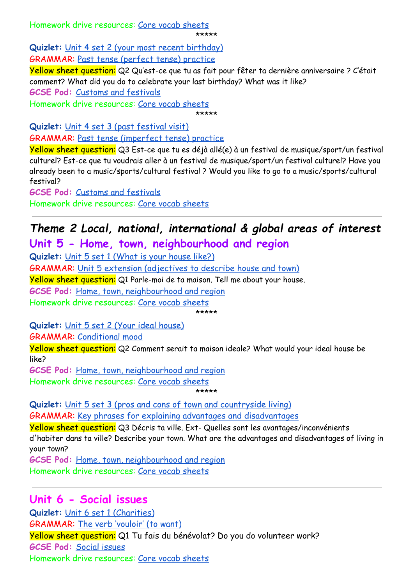Homework drive resources: [Core vocab sheets](https://drive.google.com/drive/u/0/folders/1GI7VaUoCxp5uWuUNcMsacAH8RKSEFNSZ)

\*\*\*\*\*

**Quizlet:** [Unit 4 set 2 \(your most recent birthday\)](https://quizlet.com/gb/497510870/year-10-french-theme-1-unit-4-set-2-your-most-recent-birthday-flash-cards/)

GRAMMAR: [Past tense \(perfect tense\) practice](https://quizlet.com/gb/483924047/foundation-higher-tense-perfect-past-tense-past-tense-to-say-what-you-did-in-the-past-flash-cards/)

Yellow sheet question: Q2 Qu'est-ce que tu as fait pour fêter ta dernière anniversaire ? C'était comment? What did you do to celebrate your last birthday? What was it like? **GCSE Pod:** [Customs and festivals](https://members.gcsepod.com/shared/podcasts/title/13583) Homework drive resources: [Core vocab sheets](https://drive.google.com/drive/u/0/folders/1GI7VaUoCxp5uWuUNcMsacAH8RKSEFNSZ)

\*\*\*\*\*

**Quizlet:** [Unit 4 set 3 \(past festival visit\)](https://quizlet.com/gb/497513788/year-10-french-theme-1-unit-4-set-3-past-festival-visit-flash-cards/)

GRAMMAR: [Past tense \(imperfect tense\) practice](https://quizlet.com/gb/483927654/foundation-higher-tense-imperfect-past-tense-to-describe-things-in-the-past-to-say-what-you-used-to-do-in-the-past-flash-cards/)

Yellow sheet question: Q3 Est-ce que tu es déjà allé(e) à un festival de musique/sport/un festival culturel? Est-ce que tu voudrais aller à un festival de musique/sport/un festival culturel? Have you already been to a music/sports/cultural festival ? Would you like to go to a music/sports/cultural festival?

**GCSE Pod:** [Customs and festivals](https://members.gcsepod.com/shared/podcasts/title/13583)

Homework drive resources: [Core vocab sheets](https://drive.google.com/drive/u/0/folders/1GI7VaUoCxp5uWuUNcMsacAH8RKSEFNSZ)

## *Theme 2 Local, national, international & global areas of interest* **Unit 5 - Home, town, neighbourhood and region**

**Quizlet:** [Unit 5 set 1 \(What is your house like?\)](https://quizlet.com/gb/497515399/year-10-french-theme-2-unit-5-set-1-what-is-your-house-like-flash-cards/) GRAMMAR: [Unit 5 extension \(adjectives to describe](https://quizlet.com/gb/500055502/year-10-theme-2-unit-5-extension-adjectives-to-describe-housetown-flash-cards/) house and town) Yellow sheet question: Q1 Parle-moi de ta maison. Tell me about your house. **GCSE Pod:** [Home, town, neighbourhood and region](https://members.gcsepod.com/shared/podcasts/title/13584) Homework drive resources: [Core vocab sheets](https://drive.google.com/drive/u/0/folders/1GI7VaUoCxp5uWuUNcMsacAH8RKSEFNSZ) \*\*\*\*\*

**Quizlet:** [Unit 5 set 2 \(Your ideal house\)](https://quizlet.com/gb/497516886/year-10-french-theme-2-unit-5-set-2-your-ideal-house-flash-cards/)

GRAMMAR: [Conditional mood](https://quizlet.com/gb/483928477/foundation-higher-tense-conditional-mood-to-say-what-you-would-do-flash-cards/)

Yellow sheet question: Q2 Comment serait ta maison ideale? What would your ideal house be like?

**GCSE Pod:** [Home, town, neighbourhood and region](https://members.gcsepod.com/shared/podcasts/title/13584)

Homework drive resources: [Core vocab sheets](https://drive.google.com/drive/u/0/folders/1GI7VaUoCxp5uWuUNcMsacAH8RKSEFNSZ) \*\*\*\*\*

**Quizlet:** [Unit 5 set 3 \(pros and cons of town and countryside](https://quizlet.com/gb/497518953/year-10-french-theme-2-unit-5-set-3-pros-and-cons-of-living-in-the-town-and-countryside-flash-cards/) living) GRAMMAR: [Key phrases for explaining advantages and](https://quizlet.com/gb/515043146/key-phrases-for-explaining-advantages-and-disadvantages-flash-cards/?new) disadvantages

Yellow sheet question: Q3 Décris ta ville. Ext- Quelles sont les avantages/inconvénients d'habiter dans ta ville? Describe your town. What are the advantages and disadvantages of living in your town?

**GCSE Pod:** [Home, town, neighbourhood and region](https://members.gcsepod.com/shared/podcasts/title/13584) Homework drive resources: [Core vocab sheets](https://drive.google.com/drive/u/0/folders/1GI7VaUoCxp5uWuUNcMsacAH8RKSEFNSZ)

### **Unit 6 - Social issues**

**Quizlet:** [Unit 6 set 1 \(Charities\)](https://quizlet.com/gb/429467357/year-10-french-theme-2-unit-6-set-1-social-issues-charities-flash-cards/) GRAMMAR: [The verb 'vouloir' \(to want\)](https://quizlet.com/gb/533073028/vouloir-present-tense-flash-cards/) Yellow sheet question: Q1 Tu fais du bénévolat? Do you do volunteer work? **GCSE Pod:** [Social issues](https://members.gcsepod.com/shared/podcasts/title/13585/81483) Homework drive resources: [Core vocab sheets](https://drive.google.com/drive/u/0/folders/1GI7VaUoCxp5uWuUNcMsacAH8RKSEFNSZ)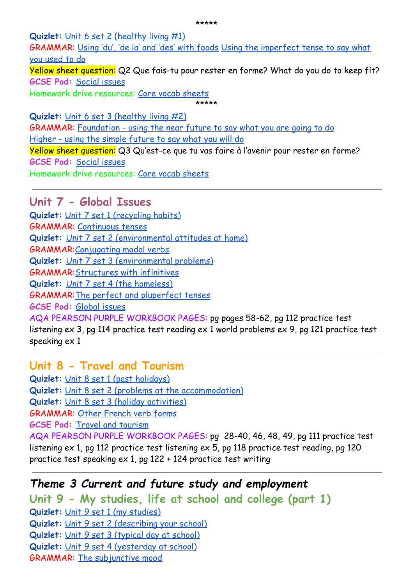**Quizlet:** [Unit 6 set 2 \(healthy living #1\)](https://quizlet.com/gb/428958308/year-10-french-theme-2-unit-6-set-2-healthy-living-1-flash-cards/)

GRAMMAR: [Using 'du', 'de la' and 'des' with foods](https://quizlet.com/au/298552811/french-food-du-de-la-des-flash-cards/) [Using the imperfect tense to say what](https://quizlet.com/gb/483927654/foundation-higher-tense-imperfect-past-tense-to-describe-things-in-the-past-to-say-what-you-used-to-do-in-the-past-flash-cards/) [you used to do](https://quizlet.com/gb/483927654/foundation-higher-tense-imperfect-past-tense-to-describe-things-in-the-past-to-say-what-you-used-to-do-in-the-past-flash-cards/)

Yellow sheet question: Q2 Que fais-tu pour rester en forme? What do you do to keep fit? **GCSE Pod:** [Social issues](https://members.gcsepod.com/shared/podcasts/title/13585/81483)

Homework drive resources: [Core vocab sheets](https://drive.google.com/drive/u/0/folders/1GI7VaUoCxp5uWuUNcMsacAH8RKSEFNSZ)

\*\*\*\*\* **Quizlet:** [Unit 6 set 3 \(healthy living #2\)](https://quizlet.com/gb/432349672/year-10-french-theme-2-unit-6-set-3-healthy-living-2-flash-cards/) GRAMMAR: [Foundation - using the near future to say](https://quizlet.com/gb/483925130/foundation-higher-tense-going-to-future-tense-to-say-what-you-are-going-to-do-in-the-future-flash-cards/) what you are going to do [Higher - using the simple future to say what you will do](https://quizlet.com/gb/483929551/higher-tense-will-future-tense-to-say-what-you-will-do-flash-cards/) Yellow sheet question: Q3 Qu'est-ce que tu vas faire à l'avenir pour rester en forme? **GCSE Pod:** [Social issues](https://members.gcsepod.com/shared/podcasts/title/13585/81483) Homework drive resources: [Core vocab sheets](https://drive.google.com/drive/u/0/folders/1GI7VaUoCxp5uWuUNcMsacAH8RKSEFNSZ)

**Unit 7 - Global Issues Quizlet:** [Unit 7 set 1 \(recycling habits\)](https://quizlet.com/gb/454014995/year-11-french-unit-7-set-1-recycling-habits-flash-cards/) GRAMMAR: [Continuous tenses](https://members.gcsepod.com/shared/podcasts/chapter/73005) **Quizlet:** [Unit 7 set 2 \(environmental attitudes at](https://quizlet.com/gb/454016866/year-11-french-unit-7-set-2-environmental-attitudes-at-home-flash-cards/) home) GRAMMAR[:Conjugating modal verbs](https://members.gcsepod.com/shared/podcasts/chapter/73014) **Quizlet:** [Unit 7 set 3 \(environmental problems\)](https://quizlet.com/gb/454018795/year-11-french-unit-7-set-3-environmental-problems-flash-cards/) GRAMMAR[:Structures with infinitives](https://members.gcsepod.com/shared/podcasts/chapter/73019) **Quizlet:** [Unit 7 set 4 \(the homeless\)](https://quizlet.com/gb/454020781/year-11-french-unit-7-set-4-the-homeless-flash-cards/) GRAMMAR[:The perfect and pluperfect tenses](https://www.bbc.co.uk/bitesize/guides/zk3k6v4/revision/1) **GCSE Pod:** [Global issues](https://members.gcsepod.com/shared/podcasts/title/13586/81486) AQA PEARSON PURPLE WORKBOOK PAGES: pg pages 58-62, pg 112 practice test

listening ex 3, pg 114 practice test reading ex 1 world problems ex 9, pg 121 practice test speaking ex 1

**Unit 8 - Travel and Tourism Quizlet:** [Unit 8 set 1 \(past holidays\)](https://quizlet.com/gb/428960541/year-11-french-unit-8-set-1-past-holidays-flash-cards/)

**Quizlet:** [Unit 8 set 2 \(problems at the accommodation\)](https://quizlet.com/gb/454022937/year-11-french-unit-8-set-2-problems-at-the-accommodation-flash-cards/)

**Quizlet:** [Unit 8 set 3 \(holiday activities\)](https://quizlet.com/gb/454025458/year-11-french-unit-8-set-3-holiday-activities-flash-cards/)

GRAMMAR: [Other French verb forms](https://www.bbc.co.uk/bitesize/guides/z67pcqt/revision/1)

**GCSE Pod:** [Travel and tourism](https://members.gcsepod.com/shared/podcasts/title/13587)

AQA PEARSON PURPLE WORKBOOK PAGES: pg 28-40, 46, 48, 49, pg 111 practice test listening ex 1, pg 112 practice test listening ex 5, pg 118 practice test reading, pg 120 practice test speaking ex 1, pg 122 + 124 practice test writing

## *Theme 3 Current and future study and employment*

**Unit 9 - My studies, life at school and college (part 1) Quizlet:** [Unit 9 set 1 \(my studies\)](https://quizlet.com/gb/471506746/theme-3-unit-9-set-1-my-studies-flash-cards/) **Quizlet:** [Unit 9 set 2 \(describing your school\)](https://quizlet.com/gb/473527652/year-11-french-unit-9-set-2-describing-your-school-flash-cards/) **Quizlet:** [Unit 9 set 3 \(typical day at school\)](https://quizlet.com/gb/473532436/year-11-french-unit-9-set-3-typical-day-at-school-flash-cards/) **Quizlet:** [Unit 9 set 4 \(yesterday at school\)](https://quizlet.com/gb/473536301/year-11-french-unit-9-set-4-yesterday-at-school-flash-cards/) GRAMMAR: [The subjunctive mood](https://members.gcsepod.com/shared/podcasts/chapter/73020)